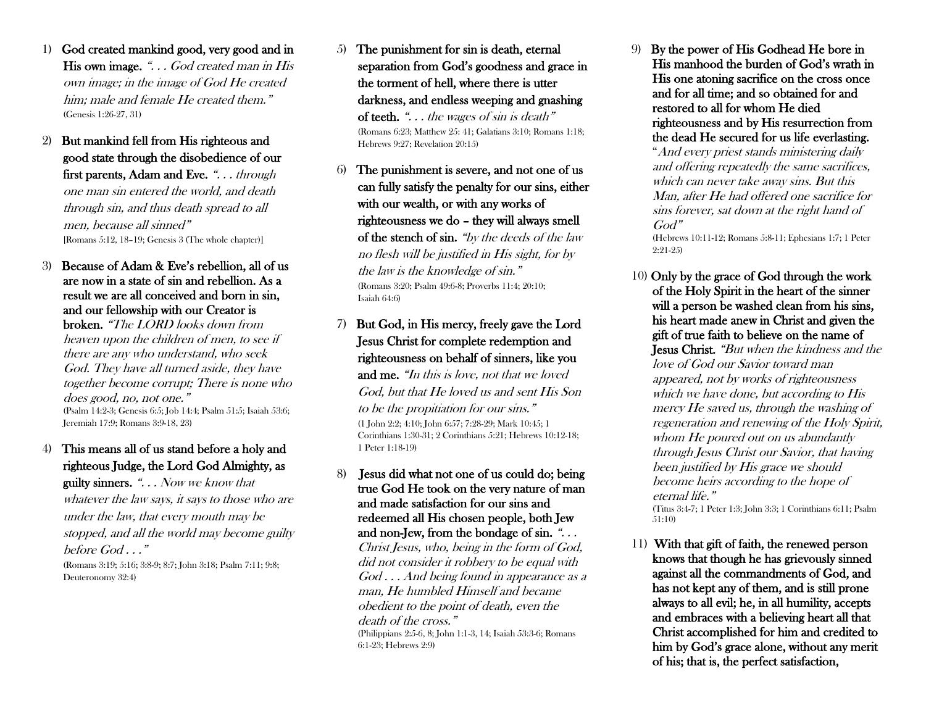- 1) God created mankind good, very good and in His own image. "... God created man in His own image; in the image of God He created him; male and female He created them." (Genesis 1:26-27, 31)
- 2) But mankind fell from His righteous and good state through the disobedience of our first parents, Adam and Eve. ". . . through one man sin entered the world, and death through sin, and thus death spread to all men, because all sinned" [Romans 5:12, 18–19; Genesis 3 (The whole chapter)]

## 3) Because of Adam & Eve's rebellion, all of us are now in a state of sin and rebellion. As a result we are all conceived and born in sin, and our fellowship with our Creator is

broken. "The LORD looks down from heaven upon the children of men, to see if there are any who understand, who seek God. They have all turned aside, they have together become corrupt; There is none who does good, no, not one." (Psalm 14:2-3; Genesis 6:5; Job 14:4; Psalm 51:5; Isaiah 53:6; Jeremiah 17:9; Romans 3:9-18, 23)

4) This means all of us stand before a holy and righteous Judge, the Lord God Almighty, as guilty sinners. ". . . Now we know that whatever the law says, it says to those who are under the law, that every mouth may be stopped, and all the world may become guilty before  $God \dots$ " (Romans 3:19; 5:16; 3:8-9; 8:7; John 3:18; Psalm 7:11; 9:8; Deuteronomy 32:4)

- 5) The punishment for sin is death, eternal separation from God's goodness and grace in the torment of hell, where there is utter darkness, and endless weeping and gnashing of teeth. " $\ldots$  the wages of sin is death" (Romans 6:23; Matthew 25: 41; Galatians 3:10; Romans 1:18; Hebrews 9:27; Revelation 20:15)
- The punishment is severe, and not one of us can fully satisfy the penalty for our sins, either with our wealth, or with any works of righteousness we do – they will always smell of the stench of sin. "by the deeds of the law no flesh will be justified in His sight, for by the law is the knowledge of sin." (Romans 3:20; Psalm 49:6-8; Proverbs 11:4; 20:10; Isaiah 64:6)

7) But God, in His mercy, freely gave the Lord Jesus Christ for complete redemption and righteousness on behalf of sinners, like you and me. "In this is love, not that we loved God, but that He loved us and sent His Son to be the propitiation for our sins." (1 John 2:2; 4:10; John 6:57; 7:28-29; Mark 10:45; 1 Corinthians 1:30-31; 2 Corinthians 5:21; Hebrews 10:12-18; 1 Peter 1:18-19)

8) Jesus did what not one of us could do; being true God He took on the very nature of man and made satisfaction for our sins and redeemed all His chosen people, both Jew and non-Jew, from the bondage of  $\sin$ . "...

Christ Jesus, who, being in the form of God, did not consider it robbery to be equal with God . . . And being found in appearance as a man, He humbled Himself and became obedient to the point of death, even the death of the cross."

(Philippians 2:5-6, 8; John 1:1-3, 14; Isaiah 53:3-6; Romans 6:1-23; Hebrews 2:9)

9) By the power of His Godhead He bore in His manhood the burden of God's wrath in His one atoning sacrifice on the cross once and for all time; and so obtained for and restored to all for whom He died righteousness and by His resurrection from the dead He secured for us life everlasting.

"And every priest stands ministering daily and offering repeatedly the same sacrifices, which can never take away sins. But this Man, after He had offered one sacrifice for sins forever, sat down at the right hand of God"

(Hebrews 10:11-12; Romans 5:8-11; Ephesians 1:7; 1 Peter 2:21-25)

10) Only by the grace of God through the work of the Holy Spirit in the heart of the sinner will a person be washed clean from his sins, his heart made anew in Christ and given the gift of true faith to believe on the name of Jesus Christ. "But when the kindness and the love of God our Savior toward man appeared, not by works of righteousness which we have done, but according to His mercy He saved us, through the washing of regeneration and renewing of the Holy Spirit, whom He poured out on us abundantly through Jesus Christ our Savior, that having been justified by His grace we should become heirs according to the hope of eternal life."

(Titus 3:4-7; 1 Peter 1:3; John 3:3; 1 Corinthians 6:11; Psalm 51:10)

11) With that gift of faith, the renewed person knows that though he has grievously sinned against all the commandments of God, and has not kept any of them, and is still prone always to all evil; he, in all humility, accepts and embraces with a believing heart all that Christ accomplished for him and credited to him by God's grace alone, without any merit of his; that is, the perfect satisfaction,